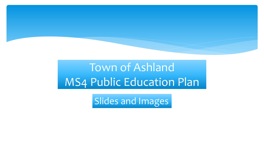

# Town of Ashland MS4 Public Education Plan

Slides and Images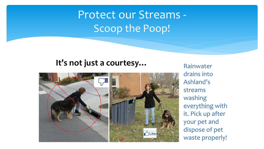## Protect our Streams - Scoop the Poop!

#### **It's not just a courtesy...** Rainwater



drains into Ashland's streams washing everything with it. Pick up after your pet and dispose of pet waste properly!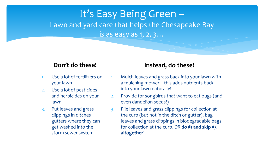#### It's Easy Being Green – Lawn and yard care that helps the Chesapeake Bay is as easy as 1, 2, 3…

#### **Don't do these!**

- 1. Use a lot of fertilizers on your lawn
- 2. Use a lot of pesticides and herbicides on your lawn
- 3. Put leaves and grass clippings in ditches gutters where they can get washed into the storm sewer system

#### **Instead, do these!**

- 1. Mulch leaves and grass back into your lawn with a mulching mower – this adds nutrients back into your lawn naturally!
- 2. Provide for songbirds that want to eat bugs (and even dandelion seeds!)
- 3. Pile leaves and grass clippings for collection at the curb (but not in the ditch or gutter), bag leaves and grass clippings in biodegradable bags for collection at the curb, *OR* **do #1 and skip #3 altogether!**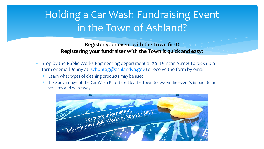#### Holding a Car Wash Fundraising Event in the Town of Ashland?

**Register your event with the Town first! Registering your fundraiser with the Town is quick and easy:**

- Stop by the Public Works Engineering department at 201 Duncan Street to pick up a form or email Jenny at [jschontag@ashlandva.gov](mailto:jschontag@ashlandva.gov) to receive the form by email
	- Learn what types of cleaning products may be used
	- Take advantage of the Car Wash Kit offered by the Town to lessen the event's impact to our streams and waterways

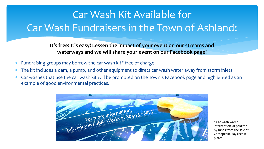## Car Wash Kit Available for Car Wash Fundraisers in the Town of Ashland:

**It's free! It's easy! Lessen the impact of your event on our streams and waterways and we will share your event on our Facebook page!**

- Fundraising groups may borrow the car wash kit\* free of charge.
- The kit includes a dam, a pump, and other equipment to direct car wash water away from storm inlets.
- Car washes that use the car wash kit will be promoted on the Town's Facebook page and highlighted as an example of good environmental practices.



\* Car wash water interception kit paid for by funds from the sale of Chesapeake Bay license plates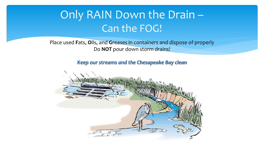## Only RAIN Down the Drain – Can the FOG!

Place used **F**ats, **O**ils, and **G**reases in containers and dispose of properly Do **NOT** pour down storm drains!

*Keep our streams and the Chesapeake Bay clean*